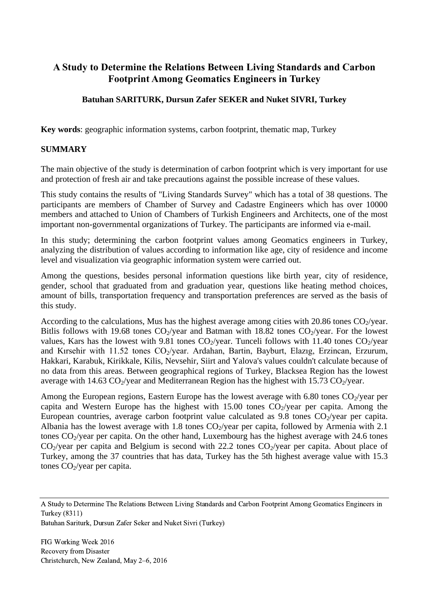# **A Study to Determine the Relations Between Living Standards and Carbon Footprint Among Geomatics Engineers in Turkey**

## **Batuhan SARITURK, Dursun Zafer SEKER and Nuket SIVRI, Turkey**

**Key words**: geographic information systems, carbon footprint, thematic map, Turkey

### **SUMMARY**

The main objective of the study is determination of carbon footprint which is very important for use and protection of fresh air and take precautions against the possible increase of these values.

This study contains the results of "Living Standards Survey" which has a total of 38 questions. The participants are members of Chamber of Survey and Cadastre Engineers which has over 10000 members and attached to Union of Chambers of Turkish Engineers and Architects, one of the most important non-governmental organizations of Turkey. The participants are informed via e-mail.

In this study; determining the carbon footprint values among Geomatics engineers in Turkey, analyzing the distribution of values according to information like age, city of residence and income level and visualization via geographic information system were carried out.

Among the questions, besides personal information questions like birth year, city of residence, gender, school that graduated from and graduation year, questions like heating method choices, amount of bills, transportation frequency and transportation preferences are served as the basis of this study.

According to the calculations, Mus has the highest average among cities with 20.86 tones  $CO_2$ /year. Bitlis follows with 19.68 tones  $CO_2$ /year and Batman with 18.82 tones  $CO_2$ /year. For the lowest values, Kars has the lowest with 9.81 tones  $CO_2$ /year. Tunceli follows with 11.40 tones  $CO_2$ /year and Kırsehir with 11.52 tones  $CO_2$ /year. Ardahan, Bartin, Bayburt, Elazıg, Erzincan, Erzurum, Hakkari, Karabuk, Kirikkale, Kilis, Nevsehir, Siirt and Yalova's values couldn't calculate because of no data from this areas. Between geographical regions of Turkey, Blacksea Region has the lowest average with 14.63  $CO_2$ /year and Mediterranean Region has the highest with 15.73  $CO_2$ /year.

Among the European regions, Eastern Europe has the lowest average with 6.80 tones  $CO_2$ /year per capita and Western Europe has the highest with 15.00 tones  $CO_2$ /year per capita. Among the European countries, average carbon footprint value calculated as 9.8 tones  $CO_2$ /year per capita. Albania has the lowest average with 1.8 tones  $CO_2$ /year per capita, followed by Armenia with 2.1 tones  $CO_2$ /year per capita. On the other hand, Luxembourg has the highest average with 24.6 tones  $CO<sub>2</sub>/year$  per capita and Belgium is second with 22.2 tones  $CO<sub>2</sub>/year$  per capita. About place of Turkey, among the 37 countries that has data, Turkey has the 5th highest average value with 15.3 tones  $CO<sub>2</sub>/year$  per capita.

Batuhan Sariturk, Dursun Zafer Seker and Nuket Sivri (Turkey)

A Study to Determine The Relations Between Living Standards and Carbon Footprint Among Geomatics Engineers in Turkey (8311)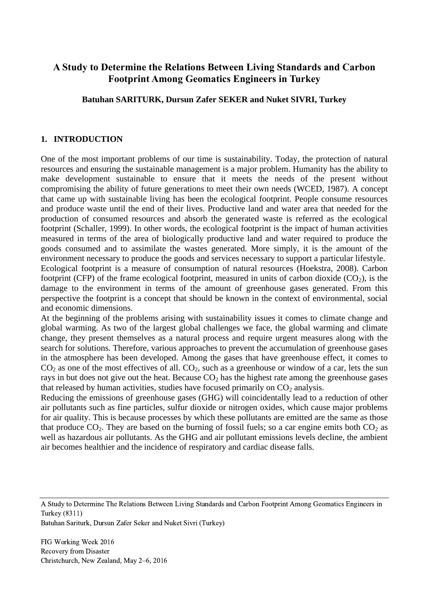## **A Study to Determine the Relations Between Living Standards and Carbon Footprint Among Geomatics Engineers in Turkey**

**Batuhan SARITURK, Dursun Zafer SEKER and Nuket SIVRI, Turkey**

#### **1. INTRODUCTION**

One of the most important problems of our time is sustainability. Today, the protection of natural resources and ensuring the sustainable management is a major problem. Humanity has the ability to make development sustainable to ensure that it meets the needs of the present without compromising the ability of future generations to meet their own needs (WCED, 1987). A concept that came up with sustainable living has been the ecological footprint. People consume resources and produce waste until the end of their lives. Productive land and water area that needed for the production of consumed resources and absorb the generated waste is referred as the ecological footprint (Schaller, 1999). In other words, the ecological footprint is the impact of human activities measured in terms of the area of biologically productive land and water required to produce the goods consumed and to assimilate the wastes generated. More simply, it is the amount of the environment necessary to produce the goods and services necessary to support a particular lifestyle. Ecological footprint is a measure of consumption of natural resources (Hoekstra, 2008). Carbon footprint (CFP) of the frame ecological footprint, measured in units of carbon dioxide  $(CO<sub>2</sub>)$ , is the damage to the environment in terms of the amount of greenhouse gases generated. From this perspective the footprint is a concept that should be known in the context of environmental, social and economic dimensions.

At the beginning of the problems arising with sustainability issues it comes to climate change and global warming. As two of the largest global challenges we face, the global warming and climate change, they present themselves as a natural process and require urgent measures along with the search for solutions. Therefore, various approaches to prevent the accumulation of greenhouse gases in the atmosphere has been developed. Among the gases that have greenhouse effect, it comes to  $CO<sub>2</sub>$  as one of the most effectives of all.  $CO<sub>2</sub>$ , such as a greenhouse or window of a car, lets the sun rays in but does not give out the heat. Because  $CO<sub>2</sub>$  has the highest rate among the greenhouse gases that released by human activities, studies have focused primarily on  $CO<sub>2</sub>$  analysis.

Reducing the emissions of greenhouse gases (GHG) will coincidentally lead to a reduction of other air pollutants such as fine particles, sulfur dioxide or nitrogen oxides, which cause major problems for air quality. This is because processes by which these pollutants are emitted are the same as those that produce  $CO_2$ . They are based on the burning of fossil fuels; so a car engine emits both  $CO_2$  as well as hazardous air pollutants. As the GHG and air pollutant emissions levels decline, the ambient air becomes healthier and the incidence of respiratory and cardiac disease falls.

Batuhan Sariturk, Dursun Zafer Seker and Nuket Sivri (Turkey)

A Study to Determine The Relations Between Living Standards and Carbon Footprint Among Geomatics Engineers in Turkey (8311)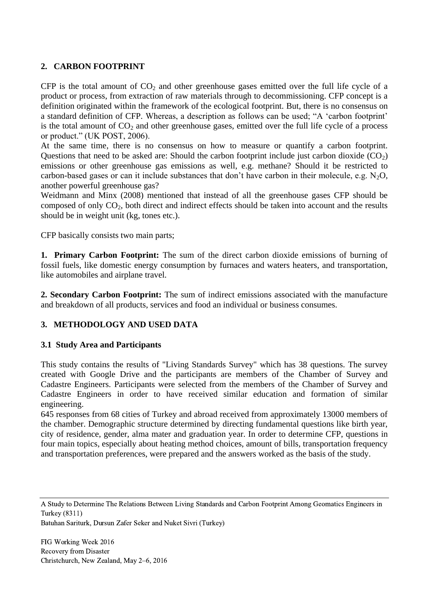### **2. CARBON FOOTPRINT**

CFP is the total amount of  $CO<sub>2</sub>$  and other greenhouse gases emitted over the full life cycle of a product or process, from extraction of raw materials through to decommissioning. CFP concept is a definition originated within the framework of the ecological footprint. But, there is no consensus on a standard definition of CFP. Whereas, a description as follows can be used; "A 'carbon footprint' is the total amount of  $CO<sub>2</sub>$  and other greenhouse gases, emitted over the full life cycle of a process or product." (UK POST, 2006).

At the same time, there is no consensus on how to measure or quantify a carbon footprint. Questions that need to be asked are: Should the carbon footprint include just carbon dioxide  $(CO<sub>2</sub>)$ emissions or other greenhouse gas emissions as well, e.g. methane? Should it be restricted to carbon-based gases or can it include substances that don't have carbon in their molecule, e.g.  $N_2O$ , another powerful greenhouse gas?

Weidmann and Minx (2008) mentioned that instead of all the greenhouse gases CFP should be composed of only CO2, both direct and indirect effects should be taken into account and the results should be in weight unit (kg, tones etc.).

CFP basically consists two main parts;

**1. Primary Carbon Footprint:** The sum of the direct carbon dioxide emissions of burning of fossil fuels, like domestic energy consumption by furnaces and waters heaters, and transportation, like automobiles and airplane travel.

**2. Secondary Carbon Footprint:** The sum of indirect emissions associated with the manufacture and breakdown of all products, services and food an individual or business consumes.

## **3. METHODOLOGY AND USED DATA**

### **3.1 Study Area and Participants**

This study contains the results of "Living Standards Survey" which has 38 questions. The survey created with Google Drive and the participants are members of the Chamber of Survey and Cadastre Engineers. Participants were selected from the members of the Chamber of Survey and Cadastre Engineers in order to have received similar education and formation of similar engineering.

645 responses from 68 cities of Turkey and abroad received from approximately 13000 members of the chamber. Demographic structure determined by directing fundamental questions like birth year, city of residence, gender, alma mater and graduation year. In order to determine CFP, questions in four main topics, especially about heating method choices, amount of bills, transportation frequency and transportation preferences, were prepared and the answers worked as the basis of the study.

A Study to Determine The Relations Between Living Standards and Carbon Footprint Among Geomatics Engineers in Turkey (8311)

Batuhan Sariturk, Dursun Zafer Seker and Nuket Sivri (Turkey)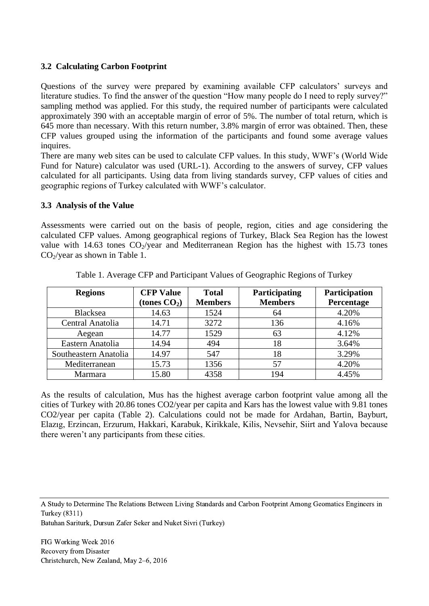### **3.2 Calculating Carbon Footprint**

Questions of the survey were prepared by examining available CFP calculators' surveys and literature studies. To find the answer of the question "How many people do I need to reply survey?" sampling method was applied. For this study, the required number of participants were calculated approximately 390 with an acceptable margin of error of 5%. The number of total return, which is 645 more than necessary. With this return number, 3.8% margin of error was obtained. Then, these CFP values grouped using the information of the participants and found some average values inquires.

There are many web sites can be used to calculate CFP values. In this study, WWF's (World Wide Fund for Nature) calculator was used (URL-1). According to the answers of survey, CFP values calculated for all participants. Using data from living standards survey, CFP values of cities and geographic regions of Turkey calculated with WWF's calculator.

### **3.3 Analysis of the Value**

Assessments were carried out on the basis of people, region, cities and age considering the calculated CFP values. Among geographical regions of Turkey, Black Sea Region has the lowest value with 14.63 tones  $CO_2$ /year and Mediterranean Region has the highest with 15.73 tones  $CO<sub>2</sub>/year$  as shown in Table 1.

| <b>Regions</b>        | <b>CFP Value</b> | <b>Total</b>   | Participating  | Participation |
|-----------------------|------------------|----------------|----------------|---------------|
|                       | (tones $CO2$ )   | <b>Members</b> | <b>Members</b> | Percentage    |
| Blacksea              | 14.63            | 1524           | 64             | 4.20%         |
| Central Anatolia      | 14.71            | 3272           | 136            | 4.16%         |
| Aegean                | 14.77            | 1529           | 63             | 4.12%         |
| Eastern Anatolia      | 14.94            | 494            | 18             | 3.64%         |
| Southeastern Anatolia | 14.97            | 547            | 18             | 3.29%         |
| Mediterranean         | 15.73            | 1356           | 57             | 4.20%         |
| Marmara               | 15.80            | 4358           | 194            | 4.45%         |

Table 1. Average CFP and Participant Values of Geographic Regions of Turkey

As the results of calculation, Mus has the highest average carbon footprint value among all the cities of Turkey with 20.86 tones CO2/year per capita and Kars has the lowest value with 9.81 tones CO2/year per capita (Table 2). Calculations could not be made for Ardahan, Bartin, Bayburt, Elazıg, Erzincan, Erzurum, Hakkari, Karabuk, Kirikkale, Kilis, Nevsehir, Siirt and Yalova because there weren't any participants from these cities.

A Study to Determine The Relations Between Living Standards and Carbon Footprint Among Geomatics Engineers in Turkey (8311)

Batuhan Sariturk, Dursun Zafer Seker and Nuket Sivri (Turkey)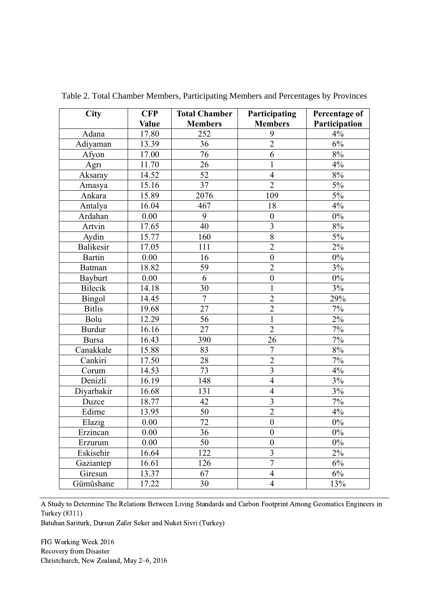| City             | <b>CFP</b>   | <b>Total Chamber</b> | Participating           | Percentage of |
|------------------|--------------|----------------------|-------------------------|---------------|
|                  | <b>Value</b> | <b>Members</b>       | <b>Members</b>          | Participation |
| Adana            | 17.80        | 252                  | 9                       | 4%            |
| Adiyaman         | 13.39        | 36                   | $\overline{2}$          | 6%            |
| Afyon            | 17.00        | 76                   | 6                       | $8\%$         |
| Agri             | 11.70        | 26                   | 1                       | 4%            |
| Aksaray          | 14.52        | 52                   | $\overline{4}$          | $8\%$         |
| Amasya           | 15.16        | 37                   | $\overline{2}$          | $5\%$         |
| Ankara           | 15.89        | 2076                 | 109                     | 5%            |
| Antalya          | 16.04        | 467                  | 18                      | 4%            |
| Ardahan          | 0.00         | 9                    | $\boldsymbol{0}$        | $0\%$         |
| Artvin           | 17.65        | 40                   | $\overline{3}$          | $8\%$         |
| Aydin            | 15.77        | 160                  | $\overline{8}$          | $5\%$         |
| <b>Balikesir</b> | 17.05        | 111                  | $\overline{2}$          | 2%            |
| <b>Bartin</b>    | 0.00         | 16                   | $\boldsymbol{0}$        | $0\%$         |
| <b>Batman</b>    | 18.82        | 59                   | $\overline{2}$          | 3%            |
| Bayburt          | 0.00         | 6                    | $\mathbf{0}$            | $0\%$         |
| Bilecik          | 14.18        | 30                   | $\mathbf{1}$            | 3%            |
| Bingol           | 14.45        | $\overline{7}$       | $\overline{2}$          | 29%           |
| <b>Bitlis</b>    | 19.68        | 27                   | $\overline{2}$          | 7%            |
| Bolu             | 12.29        | 56                   | $\mathbf{1}$            | $2\%$         |
| <b>Burdur</b>    | 16.16        | 27                   | $\overline{2}$          | 7%            |
| <b>Bursa</b>     | 16.43        | 390                  | 26                      | $7\%$         |
| Canakkale        | 15.88        | 83                   | $\overline{7}$          | $8\%$         |
| Cankiri          | 17.50        | 28                   | $\overline{2}$          | 7%            |
| Corum            | 14.53        | 73                   | $\overline{\mathbf{3}}$ | 4%            |
| Denizli          | 16.19        | 148                  | $\overline{4}$          | 3%            |
| Diyarbakir       | 16.68        | 131                  | $\overline{4}$          | 3%            |
| Duzce            | 18.77        | 42                   | $\overline{\mathbf{3}}$ | $7\%$         |
| Edirne           | 13.95        | 50                   | $\overline{2}$          | 4%            |
| Elazig           | 0.00         | 72                   | $\boldsymbol{0}$        | $0\%$         |
| Erzincan         | $0.00\,$     | 36                   | $\overline{0}$          | $0\%$         |
| Erzurum          | 0.00         | 50                   | $\boldsymbol{0}$        | $0\%$         |
| Eskisehir        | 16.64        | 122                  | $\overline{\mathbf{3}}$ | 2%            |
| Gaziantep        | 16.61        | 126                  | $\overline{7}$          | 6%            |
| Giresun          | 13.37        | 67                   | $\overline{4}$          | $6\%$         |
| Gümüshane        | 17.22        | 30                   | $\overline{4}$          | 13%           |

Table 2. Total Chamber Members, Participating Members and Percentages by Provinces

A Study to Determine The Relations Between Living Standards and Carbon Footprint Among Geomatics Engineers in Turkey (8311)

Batuhan Sariturk, Dursun Zafer Seker and Nuket Sivri (Turkey)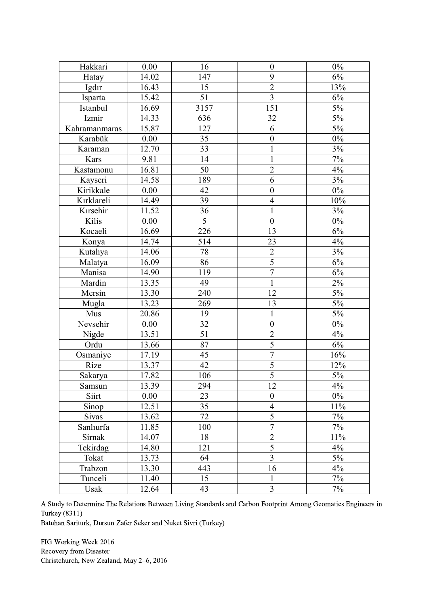| Hakkari       | 0.00  | 16   | $\boldsymbol{0}$ | $0\%$ |
|---------------|-------|------|------------------|-------|
| Hatay         | 14.02 | 147  | 9                | 6%    |
| Igdir         | 16.43 | 15   | $\overline{2}$   | 13%   |
| Isparta       | 15.42 | 51   | $\overline{3}$   | 6%    |
| Istanbul      | 16.69 | 3157 | 151              | $5\%$ |
| Izmir         | 14.33 | 636  | 32               | $5\%$ |
| Kahramanmaras | 15.87 | 127  | 6                | 5%    |
| Karabük       | 0.00  | 35   | $\boldsymbol{0}$ | $0\%$ |
| Karaman       | 12.70 | 33   | $\mathbf{1}$     | 3%    |
| Kars          | 9.81  | 14   | $\mathbf{1}$     | $7\%$ |
| Kastamonu     | 16.81 | 50   | $\overline{2}$   | 4%    |
| Kayseri       | 14.58 | 189  | 6                | 3%    |
| Kirikkale     | 0.00  | 42   | $\boldsymbol{0}$ | $0\%$ |
| Kırklareli    | 14.49 | 39   | $\overline{4}$   | 10%   |
| Kırsehir      | 11.52 | 36   | $\mathbf{1}$     | 3%    |
| Kilis         | 0.00  | 5    | $\overline{0}$   | $0\%$ |
| Kocaeli       | 16.69 | 226  | 13               | 6%    |
| Konya         | 14.74 | 514  | 23               | 4%    |
| Kutahya       | 14.06 | 78   | $\sqrt{2}$       | $3\%$ |
| Malatya       | 16.09 | 86   | $\overline{5}$   | 6%    |
| Manisa        | 14.90 | 119  | $\boldsymbol{7}$ | 6%    |
| Mardin        | 13.35 | 49   | $\mathbf{1}$     | 2%    |
| Mersin        | 13.30 | 240  | 12               | 5%    |
| Mugla         | 13.23 | 269  | 13               | 5%    |
| Mus           | 20.86 | 19   | $\mathbf{1}$     | 5%    |
| Nevsehir      | 0.00  | 32   | $\boldsymbol{0}$ | $0\%$ |
| Nigde         | 13.51 | 51   | $\overline{2}$   | 4%    |
| Ordu          | 13.66 | 87   | $\overline{5}$   | 6%    |
| Osmaniye      | 17.19 | 45   | $\overline{7}$   | 16%   |
| Rize          | 13.37 | 42   | $\overline{5}$   | 12%   |
| Sakarya       | 17.82 | 106  | $\overline{5}$   | $5\%$ |
| Samsun        | 13.39 | 294  | 12               | 4%    |
| Siirt         | 0.00  | 23   | $\boldsymbol{0}$ | $0\%$ |
| Sinop         | 12.51 | 35   | $\overline{4}$   | 11%   |
| Sivas         | 13.62 | 72   | 5                | 7%    |
| Sanlıurfa     | 11.85 | 100  | $\overline{7}$   | 7%    |
| Sirnak        | 14.07 | 18   | $\overline{2}$   | 11%   |
| Tekirdag      | 14.80 | 121  | $\overline{5}$   | 4%    |
| Tokat         | 13.73 | 64   | $\overline{3}$   | 5%    |
| Trabzon       | 13.30 | 443  | 16               | 4%    |
| Tunceli       | 11.40 | 15   | 1                | 7%    |
| Usak          | 12.64 | 43   | $\overline{3}$   | 7%    |

A Study to Determine The Relations Between Living Standards and Carbon Footprint Among Geomatics Engineers in Turkey (8311)

Batuhan Sariturk, Dursun Zafer Seker and Nuket Sivri (Turkey)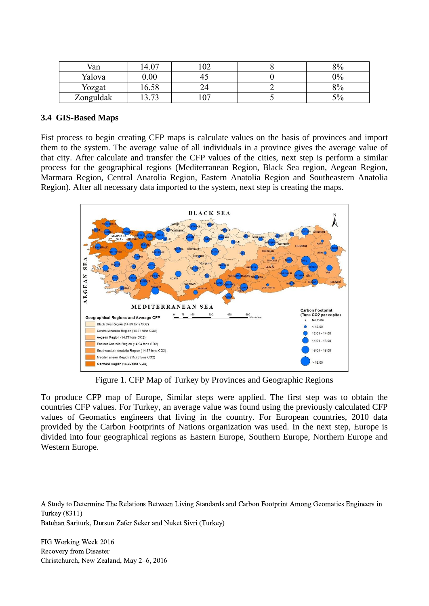| Van       | $\Delta$     | $\Omega$ | 8% |
|-----------|--------------|----------|----|
| Yalova    | $0.00\,$     |          | 0% |
| Yozgat    | 6.58         |          | 8% |
| Zonguldak | $\mathbf{z}$ | $\sim$   | 50 |

#### **3.4 GIS-Based Maps**

Fist process to begin creating CFP maps is calculate values on the basis of provinces and import them to the system. The average value of all individuals in a province gives the average value of that city. After calculate and transfer the CFP values of the cities, next step is perform a similar process for the geographical regions (Mediterranean Region, Black Sea region, Aegean Region, Marmara Region, Central Anatolia Region, Eastern Anatolia Region and Southeastern Anatolia Region). After all necessary data imported to the system, next step is creating the maps.



Figure 1. CFP Map of Turkey by Provinces and Geographic Regions

To produce CFP map of Europe, Similar steps were applied. The first step was to obtain the countries CFP values. For Turkey, an average value was found using the previously calculated CFP values of Geomatics engineers that living in the country. For European countries, 2010 data provided by the Carbon Footprints of Nations organization was used. In the next step, Europe is divided into four geographical regions as Eastern Europe, Southern Europe, Northern Europe and Western Europe.

A Study to Determine The Relations Between Living Standards and Carbon Footprint Among Geomatics Engineers in Turkey (8311)

Batuhan Sariturk, Dursun Zafer Seker and Nuket Sivri (Turkey)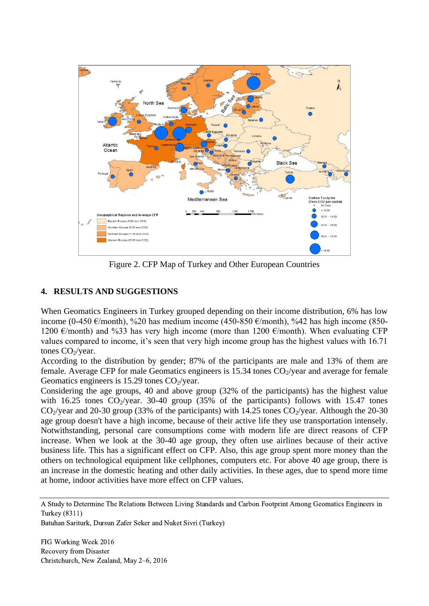

Figure 2. CFP Map of Turkey and Other European Countries

## **4. RESULTS AND SUGGESTIONS**

When Geomatics Engineers in Turkey grouped depending on their income distribution, 6% has low income (0-450 €/month), %20 has medium income (450-850 €/month), %42 has high income (850-1200 €/month) and %33 has very high income (more than 1200 €/month). When evaluating CFP values compared to income, it's seen that very high income group has the highest values with 16.71 tones  $CO<sub>2</sub>/year$ .

According to the distribution by gender; 87% of the participants are male and 13% of them are female. Average CFP for male Geomatics engineers is  $15.34$  tones  $CO<sub>2</sub>/year$  and average for female Geomatics engineers is 15.29 tones  $CO_2$ /year.

Considering the age groups, 40 and above group (32% of the participants) has the highest value with 16.25 tones  $CO_2$ /year. 30-40 group (35% of the participants) follows with 15.47 tones  $CO_2$ /year and 20-30 group (33% of the participants) with 14.25 tones  $CO_2$ /year. Although the 20-30 age group doesn't have a high income, because of their active life they use transportation intensely. Notwithstanding, personal care consumptions come with modern life are direct reasons of CFP increase. When we look at the 30-40 age group, they often use airlines because of their active business life. This has a significant effect on CFP. Also, this age group spent more money than the others on technological equipment like cellphones, computers etc. For above 40 age group, there is an increase in the domestic heating and other daily activities. In these ages, due to spend more time at home, indoor activities have more effect on CFP values.

A Study to Determine The Relations Between Living Standards and Carbon Footprint Among Geomatics Engineers in Turkey (8311)

Batuhan Sariturk, Dursun Zafer Seker and Nuket Sivri (Turkey)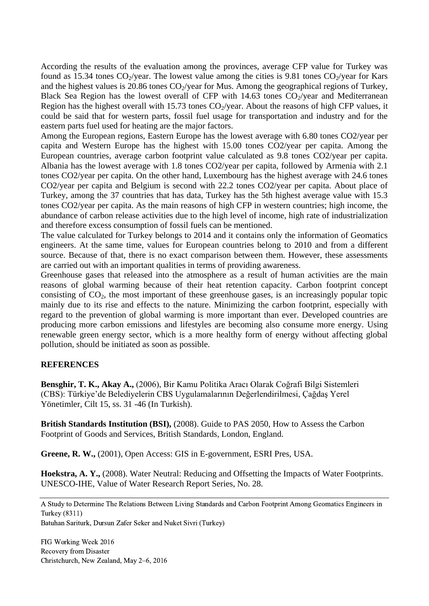According the results of the evaluation among the provinces, average CFP value for Turkey was found as 15.34 tones  $CO_2$ /year. The lowest value among the cities is 9.81 tones  $CO_2$ /year for Kars and the highest values is 20.86 tones  $CO_2$ /year for Mus. Among the geographical regions of Turkey, Black Sea Region has the lowest overall of CFP with 14.63 tones  $CO_2$ /year and Mediterranean Region has the highest overall with 15.73 tones  $CO_2$ /year. About the reasons of high CFP values, it could be said that for western parts, fossil fuel usage for transportation and industry and for the eastern parts fuel used for heating are the major factors.

Among the European regions, Eastern Europe has the lowest average with 6.80 tones CO2/year per capita and Western Europe has the highest with 15.00 tones CO2/year per capita. Among the European countries, average carbon footprint value calculated as 9.8 tones CO2/year per capita. Albania has the lowest average with 1.8 tones CO2/year per capita, followed by Armenia with 2.1 tones CO2/year per capita. On the other hand, Luxembourg has the highest average with 24.6 tones CO2/year per capita and Belgium is second with 22.2 tones CO2/year per capita. About place of Turkey, among the 37 countries that has data, Turkey has the 5th highest average value with 15.3 tones CO2/year per capita. As the main reasons of high CFP in western countries; high income, the abundance of carbon release activities due to the high level of income, high rate of industrialization and therefore excess consumption of fossil fuels can be mentioned.

The value calculated for Turkey belongs to 2014 and it contains only the information of Geomatics engineers. At the same time, values for European countries belong to 2010 and from a different source. Because of that, there is no exact comparison between them. However, these assessments are carried out with an important qualities in terms of providing awareness.

Greenhouse gases that released into the atmosphere as a result of human activities are the main reasons of global warming because of their heat retention capacity. Carbon footprint concept consisting of  $CO<sub>2</sub>$ , the most important of these greenhouse gases, is an increasingly popular topic mainly due to its rise and effects to the nature. Minimizing the carbon footprint, especially with regard to the prevention of global warming is more important than ever. Developed countries are producing more carbon emissions and lifestyles are becoming also consume more energy. Using renewable green energy sector, which is a more healthy form of energy without affecting global pollution, should be initiated as soon as possible.

### **REFERENCES**

**Bensghir, T. K., Akay A.,** (2006), Bir Kamu Politika Aracı Olarak Coğrafi Bilgi Sistemleri (CBS): Türkiye'de Belediyelerin CBS Uygulamalarının Değerlendirilmesi, Çağdaş Yerel Yönetimler, Cilt 15, ss. 31 -46 (In Turkish).

**British Standards Institution (BSI),** (2008). Guide to PAS 2050, How to Assess the Carbon Footprint of Goods and Services, British Standards, London, England.

**Greene, R. W.,** (2001), Open Access: GIS in E-government, ESRI Pres, USA.

**Hoekstra, A. Y.,** (2008). Water Neutral: Reducing and Offsetting the Impacts of Water Footprints. UNESCO-IHE, Value of Water Research Report Series, No. 28.

A Study to Determine The Relations Between Living Standards and Carbon Footprint Among Geomatics Engineers in Turkey (8311)

Batuhan Sariturk, Dursun Zafer Seker and Nuket Sivri (Turkey)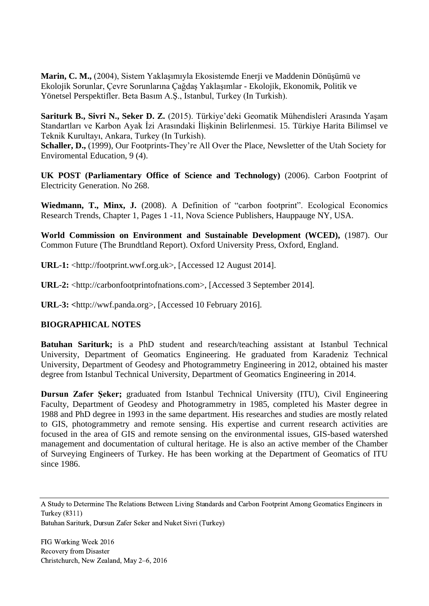**Marin, C. M.,** (2004), Sistem Yaklaşımıyla Ekosistemde Enerji ve Maddenin Dönüşümü ve Ekolojik Sorunlar, Çevre Sorunlarına Çağdaş Yaklaşımlar - Ekolojik, Ekonomik, Politik ve Yönetsel Perspektifler. Beta Basım A.Ş., Istanbul, Turkey (In Turkish).

**Sariturk B., Sivri N., Seker D. Z.** (2015). Türkiye'deki Geomatik Mühendisleri Arasında Yaşam Standartları ve Karbon Ayak İzi Arasındaki İlişkinin Belirlenmesi. 15. Türkiye Harita Bilimsel ve Teknik Kurultayı, Ankara, Turkey (In Turkish).

**Schaller, D.,** (1999), Our Footprints-They're All Over the Place, Newsletter of the Utah Society for Enviromental Education, 9 (4).

**UK POST (Parliamentary Office of Science and Technology)** (2006). Carbon Footprint of Electricity Generation. No 268.

Wiedmann, T., Minx, J. (2008). A Definition of "carbon footprint". Ecological Economics Research Trends, Chapter 1, Pages 1 -11, Nova Science Publishers, Hauppauge NY, USA.

**World Commission on Environment and Sustainable Development (WCED),** (1987). Our Common Future (The Brundtland Report). Oxford University Press, Oxford, England.

**URL-1:** <http://footprint.wwf.org.uk>, [Accessed 12 August 2014].

**URL-2:** <http://carbonfootprintofnations.com>, [Accessed 3 September 2014].

**URL-3: <**http://wwf.panda.org>, [Accessed 10 February 2016].

## **BIOGRAPHICAL NOTES**

**Batuhan Sariturk;** is a PhD student and research/teaching assistant at Istanbul Technical University, Department of Geomatics Engineering. He graduated from Karadeniz Technical University, Department of Geodesy and Photogrammetry Engineering in 2012, obtained his master degree from Istanbul Technical University, Department of Geomatics Engineering in 2014.

**Dursun Zafer Şeker;** graduated from Istanbul Technical University (ITU), Civil Engineering Faculty, Department of Geodesy and Photogrammetry in 1985, completed his Master degree in 1988 and PhD degree in 1993 in the same department. His researches and studies are mostly related to GIS, photogrammetry and remote sensing. His expertise and current research activities are focused in the area of GIS and remote sensing on the environmental issues, GIS-based watershed management and documentation of cultural heritage. He is also an active member of the Chamber of Surveying Engineers of Turkey. He has been working at the Department of Geomatics of ITU since 1986.

Batuhan Sariturk, Dursun Zafer Seker and Nuket Sivri (Turkey)

A Study to Determine The Relations Between Living Standards and Carbon Footprint Among Geomatics Engineers in Turkey (8311)